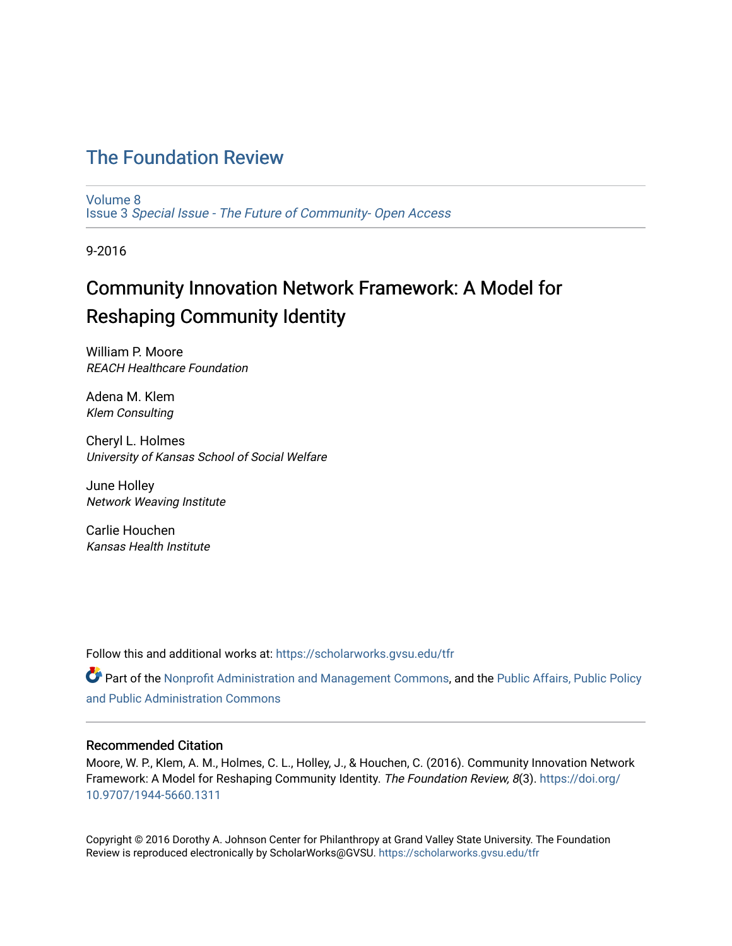## [The Foundation Review](https://scholarworks.gvsu.edu/tfr)

[Volume 8](https://scholarworks.gvsu.edu/tfr/vol8) Issue 3 [Special Issue - The Future of Community- Open Access](https://scholarworks.gvsu.edu/tfr/vol8/iss3) 

9-2016

# Community Innovation Network Framework: A Model for Reshaping Community Identity

William P. Moore REACH Healthcare Foundation

Adena M. Klem Klem Consulting

Cheryl L. Holmes University of Kansas School of Social Welfare

June Holley Network Weaving Institute

Carlie Houchen Kansas Health Institute

Follow this and additional works at: [https://scholarworks.gvsu.edu/tfr](https://scholarworks.gvsu.edu/tfr?utm_source=scholarworks.gvsu.edu%2Ftfr%2Fvol8%2Fiss3%2F5&utm_medium=PDF&utm_campaign=PDFCoverPages)

**C** Part of the [Nonprofit Administration and Management Commons,](http://network.bepress.com/hgg/discipline/1228?utm_source=scholarworks.gvsu.edu%2Ftfr%2Fvol8%2Fiss3%2F5&utm_medium=PDF&utm_campaign=PDFCoverPages) and the Public Affairs, Public Policy [and Public Administration Commons](http://network.bepress.com/hgg/discipline/393?utm_source=scholarworks.gvsu.edu%2Ftfr%2Fvol8%2Fiss3%2F5&utm_medium=PDF&utm_campaign=PDFCoverPages) 

## Recommended Citation

Moore, W. P., Klem, A. M., Holmes, C. L., Holley, J., & Houchen, C. (2016). Community Innovation Network Framework: A Model for Reshaping Community Identity. The Foundation Review, 8(3). [https://doi.org/](https://doi.org/10.9707/1944-5660.1311) [10.9707/1944-5660.1311](https://doi.org/10.9707/1944-5660.1311)

Copyright © 2016 Dorothy A. Johnson Center for Philanthropy at Grand Valley State University. The Foundation Review is reproduced electronically by ScholarWorks@GVSU.<https://scholarworks.gvsu.edu/tfr>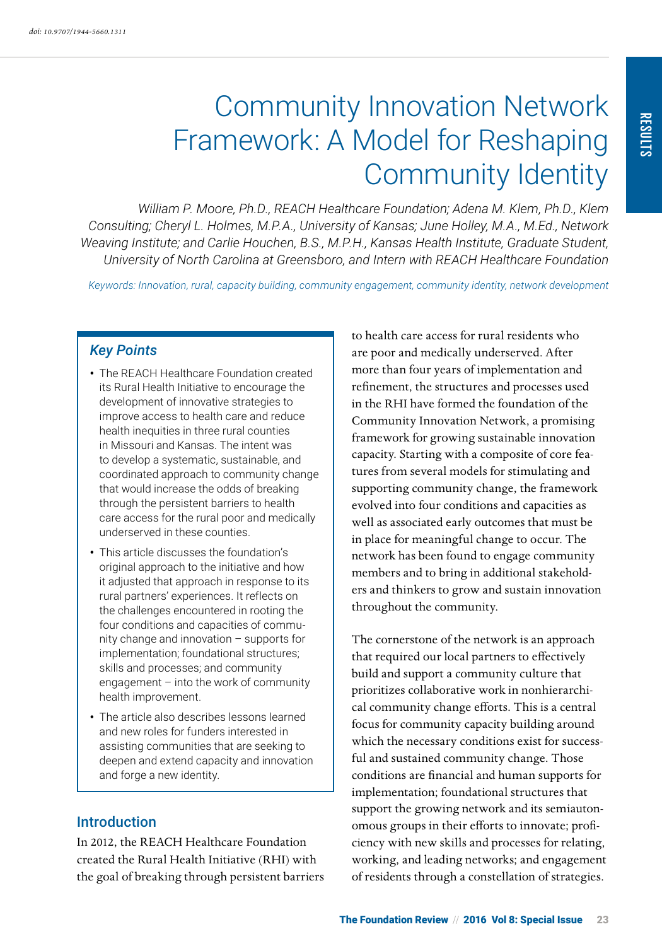# Community Innovation Network Framework: A Model for Reshaping Community Identity

*William P. Moore, Ph.D., REACH Healthcare Foundation; Adena M. Klem, Ph.D., Klem Consulting; Cheryl L. Holmes, M.P.A., University of Kansas; June Holley, M.A., M.Ed., Network Weaving Institute; and Carlie Houchen, B.S., M.P.H., Kansas Health Institute, Graduate Student, University of North Carolina at Greensboro, and Intern with REACH Healthcare Foundation*

*Keywords: Innovation, rural, capacity building, community engagement, community identity, network development*

## *Key Points*

- The REACH Healthcare Foundation created its Rural Health Initiative to encourage the development of innovative strategies to improve access to health care and reduce health inequities in three rural counties in Missouri and Kansas. The intent was to develop a systematic, sustainable, and coordinated approach to community change that would increase the odds of breaking through the persistent barriers to health care access for the rural poor and medically underserved in these counties.
- This article discusses the foundation's original approach to the initiative and how it adjusted that approach in response to its rural partners' experiences. It reflects on the challenges encountered in rooting the four conditions and capacities of community change and innovation – supports for implementation; foundational structures; skills and processes; and community engagement – into the work of community health improvement.
- The article also describes lessons learned and new roles for funders interested in assisting communities that are seeking to deepen and extend capacity and innovation and forge a new identity.

## **Introduction**

In 2012, the REACH Healthcare Foundation created the Rural Health Initiative (RHI) with the goal of breaking through persistent barriers to health care access for rural residents who are poor and medically underserved. After more than four years of implementation and refinement, the structures and processes used in the RHI have formed the foundation of the Community Innovation Network, a promising framework for growing sustainable innovation capacity. Starting with a composite of core features from several models for stimulating and supporting community change, the framework evolved into four conditions and capacities as well as associated early outcomes that must be in place for meaningful change to occur. The network has been found to engage community members and to bring in additional stakeholders and thinkers to grow and sustain innovation throughout the community.

The cornerstone of the network is an approach that required our local partners to effectively build and support a community culture that prioritizes collaborative work in nonhierarchical community change efforts. This is a central focus for community capacity building around which the necessary conditions exist for successful and sustained community change. Those conditions are financial and human supports for implementation; foundational structures that support the growing network and its semiautonomous groups in their efforts to innovate; proficiency with new skills and processes for relating, working, and leading networks; and engagement of residents through a constellation of strategies.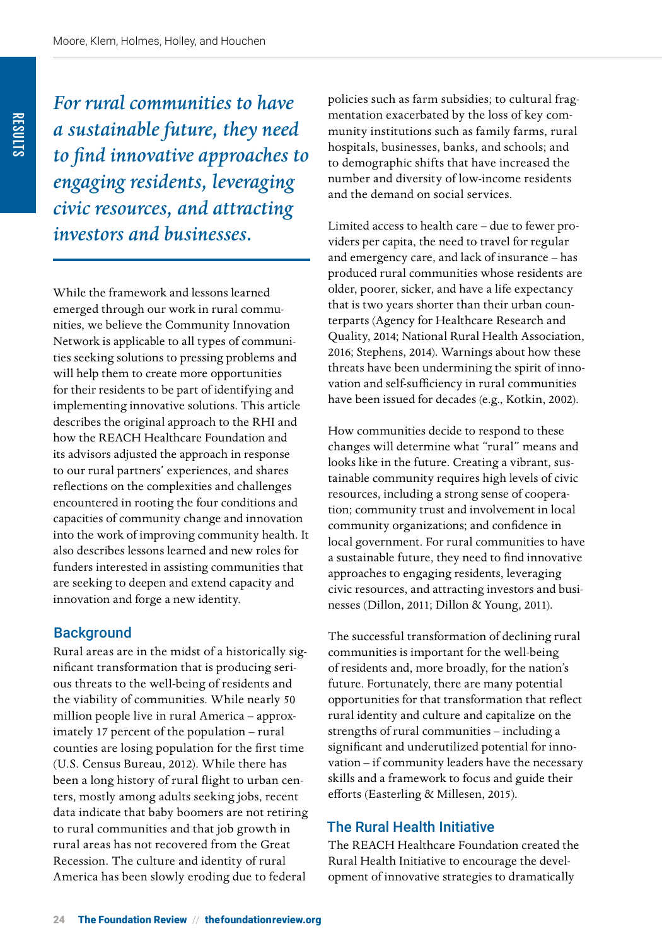*For rural communities to have a sustainable future, they need to find innovative approaches to engaging residents, leveraging civic resources, and attracting investors and businesses.*

While the framework and lessons learned emerged through our work in rural communities, we believe the Community Innovation Network is applicable to all types of communities seeking solutions to pressing problems and will help them to create more opportunities for their residents to be part of identifying and implementing innovative solutions. This article describes the original approach to the RHI and how the REACH Healthcare Foundation and its advisors adjusted the approach in response to our rural partners' experiences, and shares reflections on the complexities and challenges encountered in rooting the four conditions and capacities of community change and innovation into the work of improving community health. It also describes lessons learned and new roles for funders interested in assisting communities that are seeking to deepen and extend capacity and innovation and forge a new identity.

## **Background**

Rural areas are in the midst of a historically significant transformation that is producing serious threats to the well-being of residents and the viability of communities. While nearly 50 million people live in rural America – approximately 17 percent of the population – rural counties are losing population for the first time (U.S. Census Bureau, 2012). While there has been a long history of rural flight to urban centers, mostly among adults seeking jobs, recent data indicate that baby boomers are not retiring to rural communities and that job growth in rural areas has not recovered from the Great Recession. The culture and identity of rural America has been slowly eroding due to federal

policies such as farm subsidies; to cultural fragmentation exacerbated by the loss of key community institutions such as family farms, rural hospitals, businesses, banks, and schools; and to demographic shifts that have increased the number and diversity of low-income residents and the demand on social services.

Limited access to health care – due to fewer providers per capita, the need to travel for regular and emergency care, and lack of insurance – has produced rural communities whose residents are older, poorer, sicker, and have a life expectancy that is two years shorter than their urban counterparts (Agency for Healthcare Research and Quality, 2014; National Rural Health Association, 2016; Stephens, 2014). Warnings about how these threats have been undermining the spirit of innovation and self-sufficiency in rural communities have been issued for decades (e.g., Kotkin, 2002).

How communities decide to respond to these changes will determine what "rural" means and looks like in the future. Creating a vibrant, sustainable community requires high levels of civic resources, including a strong sense of cooperation; community trust and involvement in local community organizations; and confidence in local government. For rural communities to have a sustainable future, they need to find innovative approaches to engaging residents, leveraging civic resources, and attracting investors and businesses (Dillon, 2011; Dillon & Young, 2011).

The successful transformation of declining rural communities is important for the well-being of residents and, more broadly, for the nation's future. Fortunately, there are many potential opportunities for that transformation that reflect rural identity and culture and capitalize on the strengths of rural communities – including a significant and underutilized potential for innovation – if community leaders have the necessary skills and a framework to focus and guide their efforts (Easterling & Millesen, 2015).

## The Rural Health Initiative

The REACH Healthcare Foundation created the Rural Health Initiative to encourage the development of innovative strategies to dramatically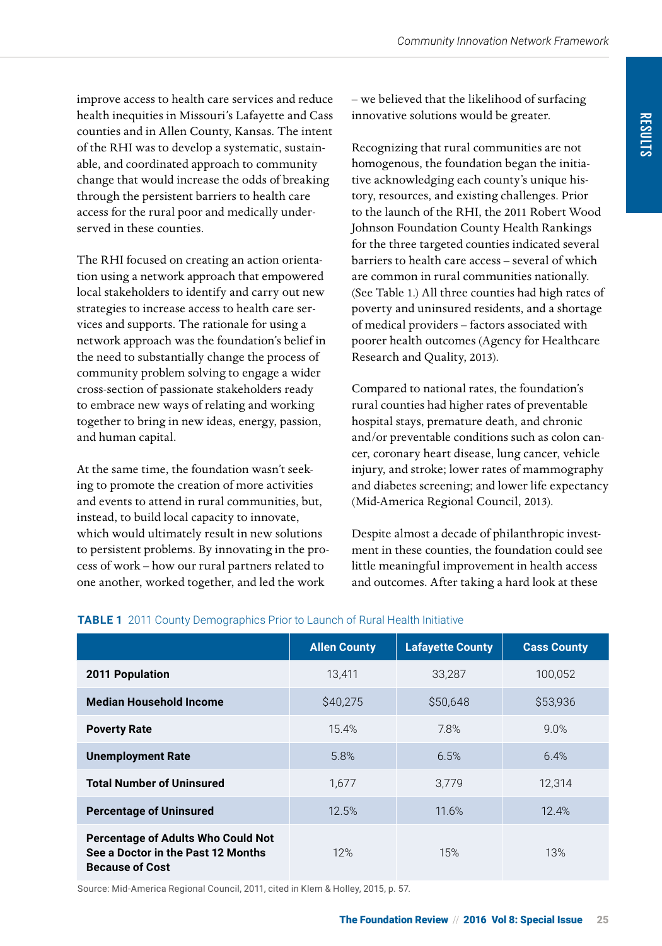improve access to health care services and reduce health inequities in Missouri's Lafayette and Cass counties and in Allen County, Kansas. The intent of the RHI was to develop a systematic, sustainable, and coordinated approach to community change that would increase the odds of breaking through the persistent barriers to health care access for the rural poor and medically underserved in these counties.

The RHI focused on creating an action orientation using a network approach that empowered local stakeholders to identify and carry out new strategies to increase access to health care services and supports. The rationale for using a network approach was the foundation's belief in the need to substantially change the process of community problem solving to engage a wider cross-section of passionate stakeholders ready to embrace new ways of relating and working together to bring in new ideas, energy, passion, and human capital.

At the same time, the foundation wasn't seeking to promote the creation of more activities and events to attend in rural communities, but, instead, to build local capacity to innovate, which would ultimately result in new solutions to persistent problems. By innovating in the process of work – how our rural partners related to one another, worked together, and led the work

– we believed that the likelihood of surfacing innovative solutions would be greater.

Recognizing that rural communities are not homogenous, the foundation began the initiative acknowledging each county's unique history, resources, and existing challenges. Prior to the launch of the RHI, the 2011 Robert Wood Johnson Foundation County Health Rankings for the three targeted counties indicated several barriers to health care access – several of which are common in rural communities nationally. (See Table 1.) All three counties had high rates of poverty and uninsured residents, and a shortage of medical providers – factors associated with poorer health outcomes (Agency for Healthcare Research and Quality, 2013).

Compared to national rates, the foundation's rural counties had higher rates of preventable hospital stays, premature death, and chronic and/or preventable conditions such as colon cancer, coronary heart disease, lung cancer, vehicle injury, and stroke; lower rates of mammography and diabetes screening; and lower life expectancy (Mid-America Regional Council, 2013).

Despite almost a decade of philanthropic investment in these counties, the foundation could see little meaningful improvement in health access and outcomes. After taking a hard look at these

|                                                                                                           | <b>Allen County</b> | <b>Lafayette County</b> | <b>Cass County</b> |
|-----------------------------------------------------------------------------------------------------------|---------------------|-------------------------|--------------------|
| <b>2011 Population</b>                                                                                    | 13.411              | 33,287                  | 100,052            |
| <b>Median Household Income</b>                                                                            | \$40.275            | \$50.648                | \$53,936           |
| <b>Poverty Rate</b>                                                                                       | 15.4%               | 7.8%                    | 9.0%               |
| <b>Unemployment Rate</b>                                                                                  | 5.8%                | 6.5%                    | 6.4%               |
| <b>Total Number of Uninsured</b>                                                                          | 1.677               | 3,779                   | 12,314             |
| <b>Percentage of Uninsured</b>                                                                            | 12.5%               | 11.6%                   | 12.4%              |
| <b>Percentage of Adults Who Could Not</b><br>See a Doctor in the Past 12 Months<br><b>Because of Cost</b> | 12%                 | 15%                     | 13%                |

#### **TABLE 1** 2011 County Demographics Prior to Launch of Rural Health Initiative

Source: Mid-America Regional Council, 2011, cited in Klem & Holley, 2015, p. 57.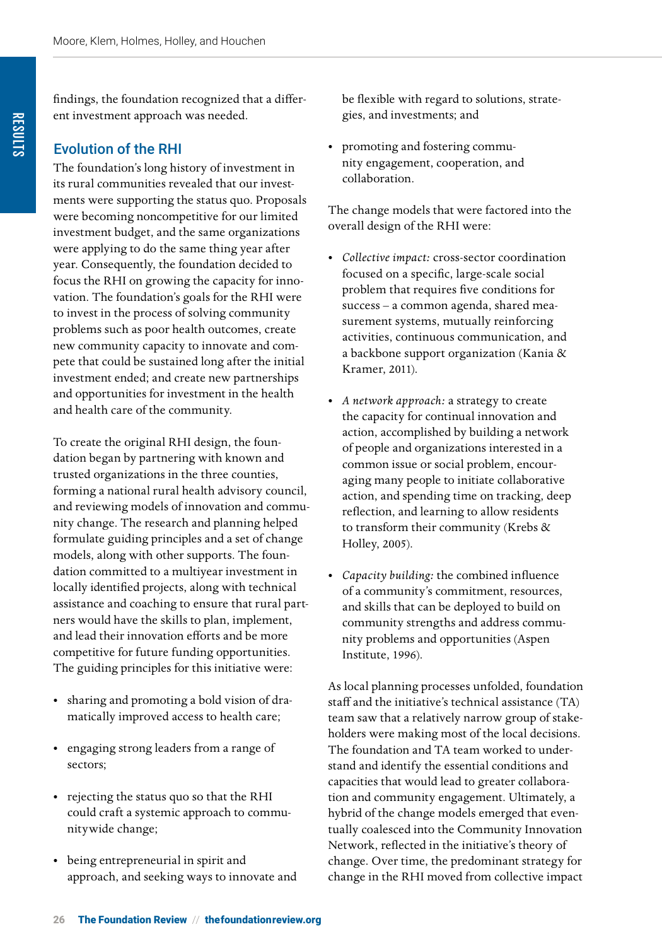findings, the foundation recognized that a different investment approach was needed.

## Evolution of the RHI

The foundation's long history of investment in its rural communities revealed that our investments were supporting the status quo. Proposals were becoming noncompetitive for our limited investment budget, and the same organizations were applying to do the same thing year after year. Consequently, the foundation decided to focus the RHI on growing the capacity for innovation. The foundation's goals for the RHI were to invest in the process of solving community problems such as poor health outcomes, create new community capacity to innovate and compete that could be sustained long after the initial investment ended; and create new partnerships and opportunities for investment in the health and health care of the community.

To create the original RHI design, the foundation began by partnering with known and trusted organizations in the three counties, forming a national rural health advisory council, and reviewing models of innovation and community change. The research and planning helped formulate guiding principles and a set of change models, along with other supports. The foundation committed to a multiyear investment in locally identified projects, along with technical assistance and coaching to ensure that rural partners would have the skills to plan, implement, and lead their innovation efforts and be more competitive for future funding opportunities. The guiding principles for this initiative were:

- sharing and promoting a bold vision of dramatically improved access to health care;
- engaging strong leaders from a range of sectors;
- rejecting the status quo so that the RHI could craft a systemic approach to communitywide change;
- being entrepreneurial in spirit and approach, and seeking ways to innovate and

be flexible with regard to solutions, strategies, and investments; and

promoting and fostering community engagement, cooperation, and collaboration.

The change models that were factored into the overall design of the RHI were:

- *Collective impact:* cross-sector coordination focused on a specific, large-scale social problem that requires five conditions for success – a common agenda, shared measurement systems, mutually reinforcing activities, continuous communication, and a backbone support organization (Kania & Kramer, 2011).
- *A network approach:* a strategy to create the capacity for continual innovation and action, accomplished by building a network of people and organizations interested in a common issue or social problem, encouraging many people to initiate collaborative action, and spending time on tracking, deep reflection, and learning to allow residents to transform their community (Krebs & Holley, 2005).
- *Capacity building:* the combined influence of a community's commitment, resources, and skills that can be deployed to build on community strengths and address community problems and opportunities (Aspen Institute, 1996).

As local planning processes unfolded, foundation staff and the initiative's technical assistance (TA) team saw that a relatively narrow group of stakeholders were making most of the local decisions. The foundation and TA team worked to understand and identify the essential conditions and capacities that would lead to greater collaboration and community engagement. Ultimately, a hybrid of the change models emerged that eventually coalesced into the Community Innovation Network, reflected in the initiative's theory of change. Over time, the predominant strategy for change in the RHI moved from collective impact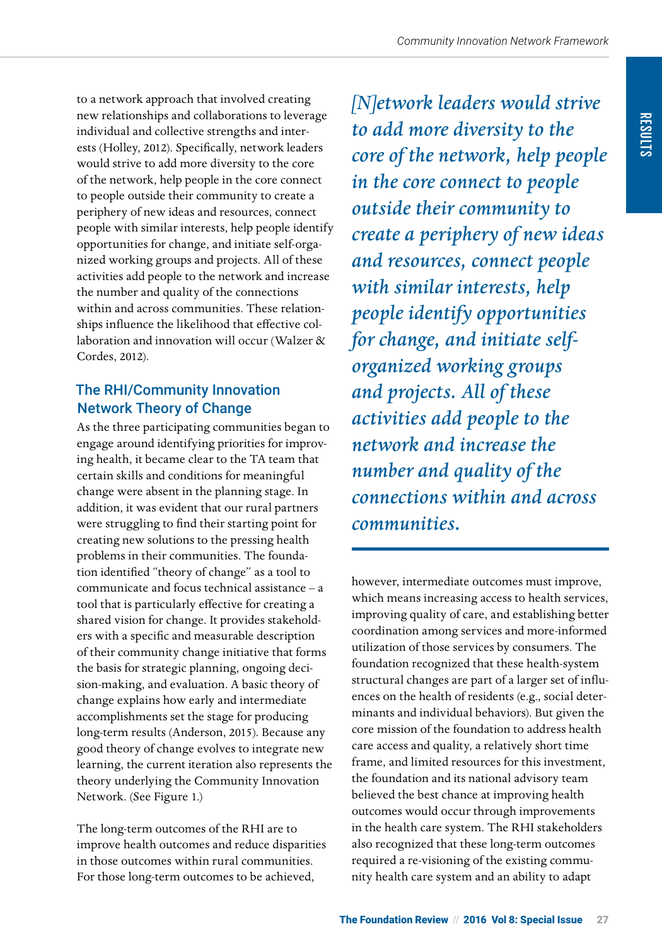to a network approach that involved creating new relationships and collaborations to leverage individual and collective strengths and interests (Holley, 2012). Specifically, network leaders would strive to add more diversity to the core of the network, help people in the core connect to people outside their community to create a periphery of new ideas and resources, connect people with similar interests, help people identify opportunities for change, and initiate self-organized working groups and projects. All of these activities add people to the network and increase the number and quality of the connections within and across communities. These relationships influence the likelihood that effective collaboration and innovation will occur (Walzer & Cordes, 2012).

## The RHI/Community Innovation Network Theory of Change

As the three participating communities began to engage around identifying priorities for improving health, it became clear to the TA team that certain skills and conditions for meaningful change were absent in the planning stage. In addition, it was evident that our rural partners were struggling to find their starting point for creating new solutions to the pressing health problems in their communities. The foundation identified "theory of change" as a tool to communicate and focus technical assistance – a tool that is particularly effective for creating a shared vision for change. It provides stakeholders with a specific and measurable description of their community change initiative that forms the basis for strategic planning, ongoing decision-making, and evaluation. A basic theory of change explains how early and intermediate accomplishments set the stage for producing long-term results (Anderson, 2015). Because any good theory of change evolves to integrate new learning, the current iteration also represents the theory underlying the Community Innovation Network. (See Figure 1.)

The long-term outcomes of the RHI are to improve health outcomes and reduce disparities in those outcomes within rural communities. For those long-term outcomes to be achieved,

*[N]etwork leaders would strive to add more diversity to the core of the network, help people in the core connect to people outside their community to create a periphery of new ideas and resources, connect people with similar interests, help people identify opportunities for change, and initiate selforganized working groups and projects. All of these activities add people to the network and increase the number and quality of the connections within and across communities.*

however, intermediate outcomes must improve, which means increasing access to health services, improving quality of care, and establishing better coordination among services and more-informed utilization of those services by consumers. The foundation recognized that these health-system structural changes are part of a larger set of influences on the health of residents (e.g., social determinants and individual behaviors). But given the core mission of the foundation to address health care access and quality, a relatively short time frame, and limited resources for this investment, the foundation and its national advisory team believed the best chance at improving health outcomes would occur through improvements in the health care system. The RHI stakeholders also recognized that these long-term outcomes required a re-visioning of the existing community health care system and an ability to adapt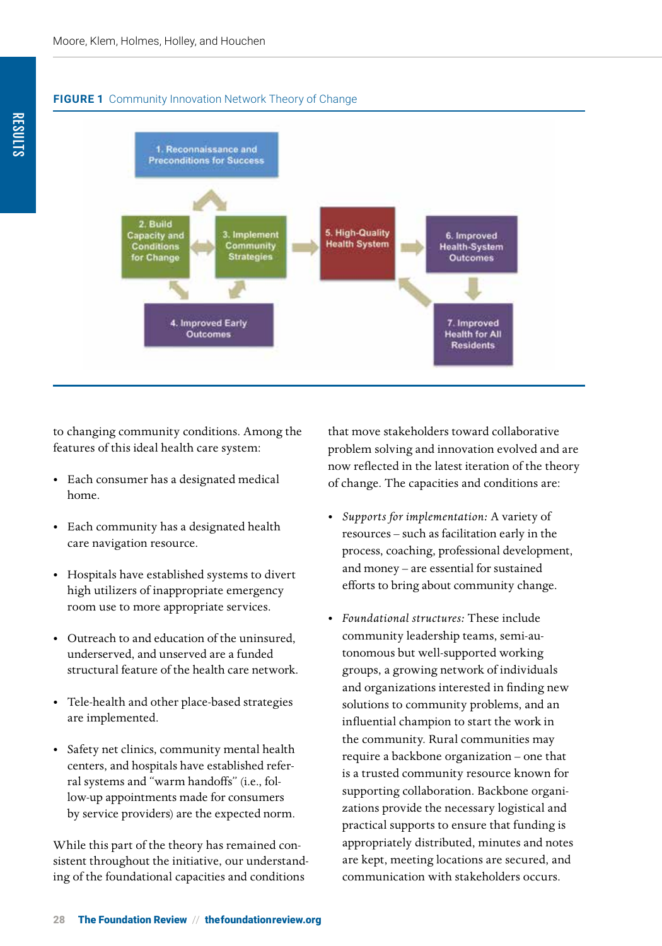#### **FIGURE 1** Community Innovation Network Theory of Change



to changing community conditions. Among the features of this ideal health care system:

- Each consumer has a designated medical home.
- Each community has a designated health care navigation resource.
- Hospitals have established systems to divert high utilizers of inappropriate emergency room use to more appropriate services.
- Outreach to and education of the uninsured, underserved, and unserved are a funded structural feature of the health care network.
- Tele-health and other place-based strategies are implemented.
- Safety net clinics, community mental health centers, and hospitals have established referral systems and "warm handoffs" (i.e., follow-up appointments made for consumers by service providers) are the expected norm.

While this part of the theory has remained consistent throughout the initiative, our understanding of the foundational capacities and conditions

that move stakeholders toward collaborative problem solving and innovation evolved and are now reflected in the latest iteration of the theory of change. The capacities and conditions are:

- *Supports for implementation:* A variety of resources – such as facilitation early in the process, coaching, professional development, and money – are essential for sustained efforts to bring about community change.
- *Foundational structures:* These include community leadership teams, semi-autonomous but well-supported working groups, a growing network of individuals and organizations interested in finding new solutions to community problems, and an influential champion to start the work in the community. Rural communities may require a backbone organization – one that is a trusted community resource known for supporting collaboration. Backbone organizations provide the necessary logistical and practical supports to ensure that funding is appropriately distributed, minutes and notes are kept, meeting locations are secured, and communication with stakeholders occurs.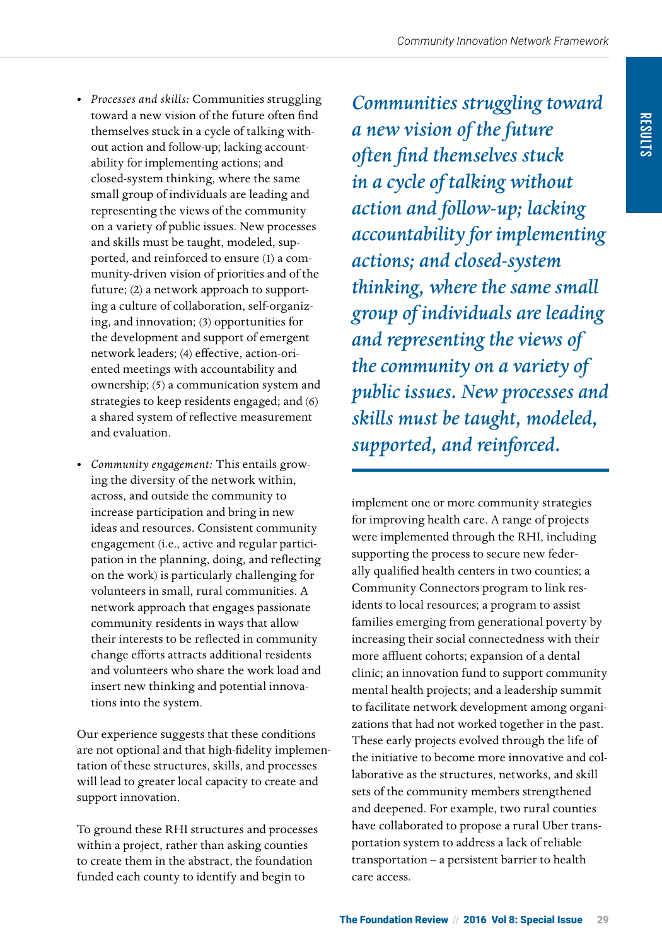- *Processes and skills:* Communities struggling toward a new vision of the future often find themselves stuck in a cycle of talking without action and follow-up; lacking accountability for implementing actions; and closed-system thinking, where the same small group of individuals are leading and representing the views of the community on a variety of public issues. New processes and skills must be taught, modeled, supported, and reinforced to ensure (1) a community-driven vision of priorities and of the future; (2) a network approach to supporting a culture of collaboration, self-organizing, and innovation; (3) opportunities for the development and support of emergent network leaders; (4) effective, action-oriented meetings with accountability and ownership; (5) a communication system and strategies to keep residents engaged; and (6) a shared system of reflective measurement and evaluation.
- *Community engagement:* This entails growing the diversity of the network within, across, and outside the community to increase participation and bring in new ideas and resources. Consistent community engagement (i.e., active and regular participation in the planning, doing, and reflecting on the work) is particularly challenging for volunteers in small, rural communities. A network approach that engages passionate community residents in ways that allow their interests to be reflected in community change efforts attracts additional residents and volunteers who share the work load and insert new thinking and potential innovations into the system.

Our experience suggests that these conditions are not optional and that high-fidelity implementation of these structures, skills, and processes will lead to greater local capacity to create and support innovation.

To ground these RHI structures and processes within a project, rather than asking counties to create them in the abstract, the foundation funded each county to identify and begin to

*Communities struggling toward a new vision of the future often find themselves stuck in a cycle of talking without action and follow-up; lacking accountability for implementing actions; and closed-system thinking, where the same small group of individuals are leading and representing the views of the community on a variety of public issues. New processes and skills must be taught, modeled, supported, and reinforced.*

implement one or more community strategies for improving health care. A range of projects were implemented through the RHI, including supporting the process to secure new federally qualified health centers in two counties; a Community Connectors program to link residents to local resources; a program to assist families emerging from generational poverty by increasing their social connectedness with their more affluent cohorts; expansion of a dental clinic; an innovation fund to support community mental health projects; and a leadership summit to facilitate network development among organizations that had not worked together in the past. These early projects evolved through the life of the initiative to become more innovative and collaborative as the structures, networks, and skill sets of the community members strengthened and deepened. For example, two rural counties have collaborated to propose a rural Uber transportation system to address a lack of reliable transportation – a persistent barrier to health care access.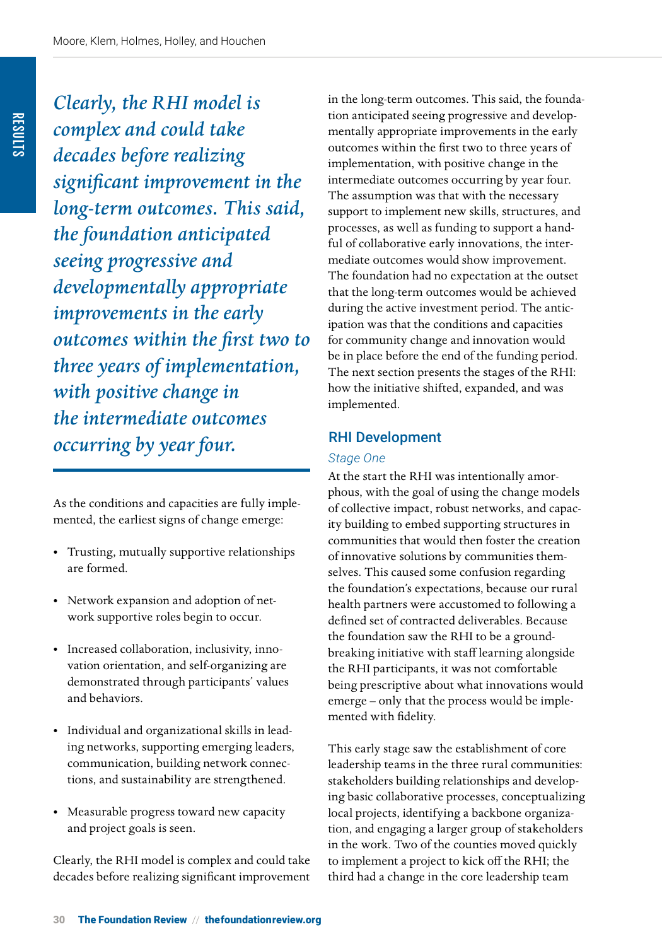*Clearly, the RHI model is complex and could take decades before realizing significant improvement in the long-term outcomes. This said, the foundation anticipated seeing progressive and developmentally appropriate improvements in the early outcomes within the first two to three years of implementation, with positive change in the intermediate outcomes occurring by year four.*

As the conditions and capacities are fully implemented, the earliest signs of change emerge:

- Trusting, mutually supportive relationships are formed.
- Network expansion and adoption of network supportive roles begin to occur.
- Increased collaboration, inclusivity, innovation orientation, and self-organizing are demonstrated through participants' values and behaviors.
- Individual and organizational skills in leading networks, supporting emerging leaders, communication, building network connections, and sustainability are strengthened.
- Measurable progress toward new capacity and project goals is seen.

Clearly, the RHI model is complex and could take decades before realizing significant improvement in the long-term outcomes. This said, the foundation anticipated seeing progressive and developmentally appropriate improvements in the early outcomes within the first two to three years of implementation, with positive change in the intermediate outcomes occurring by year four. The assumption was that with the necessary support to implement new skills, structures, and processes, as well as funding to support a handful of collaborative early innovations, the intermediate outcomes would show improvement. The foundation had no expectation at the outset that the long-term outcomes would be achieved during the active investment period. The anticipation was that the conditions and capacities for community change and innovation would be in place before the end of the funding period. The next section presents the stages of the RHI: how the initiative shifted, expanded, and was implemented.

## RHI Development

#### *Stage One*

At the start the RHI was intentionally amorphous, with the goal of using the change models of collective impact, robust networks, and capacity building to embed supporting structures in communities that would then foster the creation of innovative solutions by communities themselves. This caused some confusion regarding the foundation's expectations, because our rural health partners were accustomed to following a defined set of contracted deliverables. Because the foundation saw the RHI to be a groundbreaking initiative with staff learning alongside the RHI participants, it was not comfortable being prescriptive about what innovations would emerge – only that the process would be implemented with fidelity.

This early stage saw the establishment of core leadership teams in the three rural communities: stakeholders building relationships and developing basic collaborative processes, conceptualizing local projects, identifying a backbone organization, and engaging a larger group of stakeholders in the work. Two of the counties moved quickly to implement a project to kick off the RHI; the third had a change in the core leadership team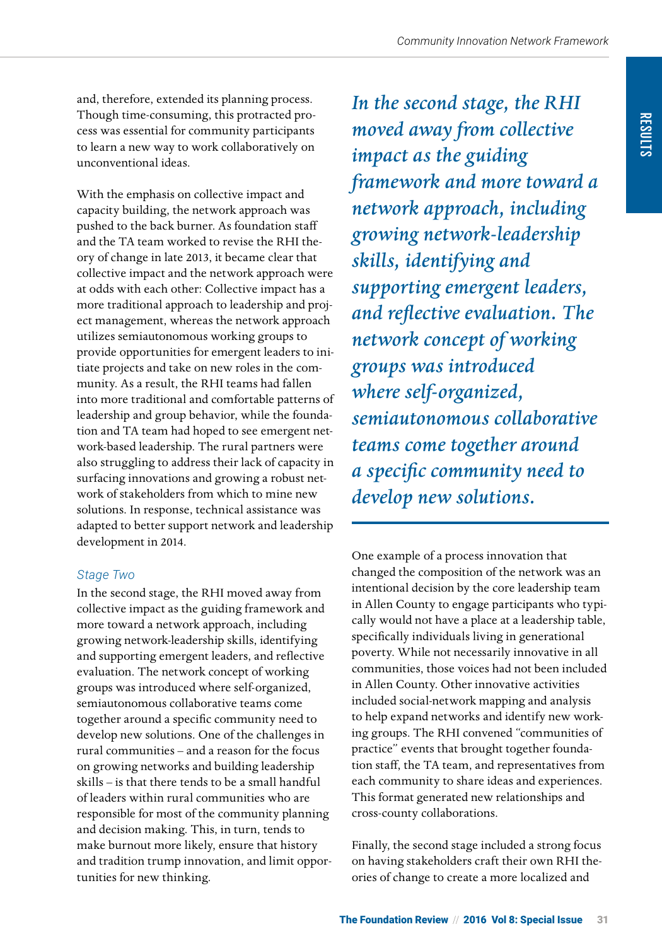and, therefore, extended its planning process. Though time-consuming, this protracted process was essential for community participants to learn a new way to work collaboratively on unconventional ideas.

With the emphasis on collective impact and capacity building, the network approach was pushed to the back burner. As foundation staff and the TA team worked to revise the RHI theory of change in late 2013, it became clear that collective impact and the network approach were at odds with each other: Collective impact has a more traditional approach to leadership and project management, whereas the network approach utilizes semiautonomous working groups to provide opportunities for emergent leaders to initiate projects and take on new roles in the community. As a result, the RHI teams had fallen into more traditional and comfortable patterns of leadership and group behavior, while the foundation and TA team had hoped to see emergent network-based leadership. The rural partners were also struggling to address their lack of capacity in surfacing innovations and growing a robust network of stakeholders from which to mine new solutions. In response, technical assistance was adapted to better support network and leadership development in 2014.

## *Stage Two*

In the second stage, the RHI moved away from collective impact as the guiding framework and more toward a network approach, including growing network-leadership skills, identifying and supporting emergent leaders, and reflective evaluation. The network concept of working groups was introduced where self-organized, semiautonomous collaborative teams come together around a specific community need to develop new solutions. One of the challenges in rural communities – and a reason for the focus on growing networks and building leadership skills – is that there tends to be a small handful of leaders within rural communities who are responsible for most of the community planning and decision making. This, in turn, tends to make burnout more likely, ensure that history and tradition trump innovation, and limit opportunities for new thinking.

*In the second stage, the RHI moved away from collective impact as the guiding framework and more toward a network approach, including growing network-leadership skills, identifying and supporting emergent leaders, and reflective evaluation. The network concept of working groups was introduced where self-organized, semiautonomous collaborative teams come together around a specific community need to develop new solutions.*

One example of a process innovation that changed the composition of the network was an intentional decision by the core leadership team in Allen County to engage participants who typically would not have a place at a leadership table, specifically individuals living in generational poverty. While not necessarily innovative in all communities, those voices had not been included in Allen County. Other innovative activities included social-network mapping and analysis to help expand networks and identify new working groups. The RHI convened "communities of practice" events that brought together foundation staff, the TA team, and representatives from each community to share ideas and experiences. This format generated new relationships and cross-county collaborations.

Finally, the second stage included a strong focus on having stakeholders craft their own RHI theories of change to create a more localized and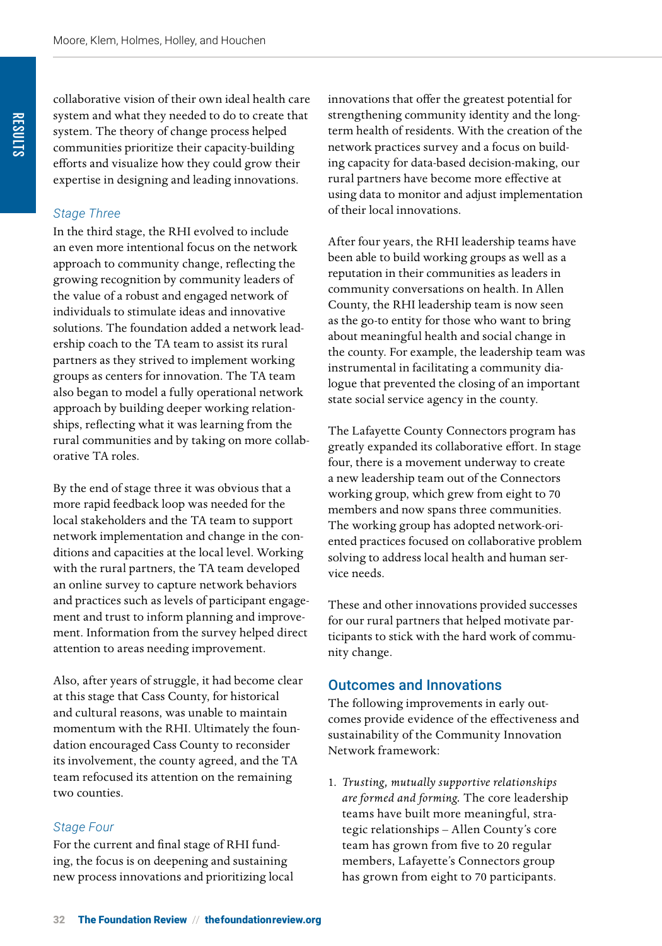collaborative vision of their own ideal health care system and what they needed to do to create that system. The theory of change process helped communities prioritize their capacity-building efforts and visualize how they could grow their expertise in designing and leading innovations.

#### *Stage Three*

In the third stage, the RHI evolved to include an even more intentional focus on the network approach to community change, reflecting the growing recognition by community leaders of the value of a robust and engaged network of individuals to stimulate ideas and innovative solutions. The foundation added a network leadership coach to the TA team to assist its rural partners as they strived to implement working groups as centers for innovation. The TA team also began to model a fully operational network approach by building deeper working relationships, reflecting what it was learning from the rural communities and by taking on more collaborative TA roles.

By the end of stage three it was obvious that a more rapid feedback loop was needed for the local stakeholders and the TA team to support network implementation and change in the conditions and capacities at the local level. Working with the rural partners, the TA team developed an online survey to capture network behaviors and practices such as levels of participant engagement and trust to inform planning and improvement. Information from the survey helped direct attention to areas needing improvement.

Also, after years of struggle, it had become clear at this stage that Cass County, for historical and cultural reasons, was unable to maintain momentum with the RHI. Ultimately the foundation encouraged Cass County to reconsider its involvement, the county agreed, and the TA team refocused its attention on the remaining two counties.

#### *Stage Four*

For the current and final stage of RHI funding, the focus is on deepening and sustaining new process innovations and prioritizing local innovations that offer the greatest potential for strengthening community identity and the longterm health of residents. With the creation of the network practices survey and a focus on building capacity for data-based decision-making, our rural partners have become more effective at using data to monitor and adjust implementation of their local innovations.

After four years, the RHI leadership teams have been able to build working groups as well as a reputation in their communities as leaders in community conversations on health. In Allen County, the RHI leadership team is now seen as the go-to entity for those who want to bring about meaningful health and social change in the county. For example, the leadership team was instrumental in facilitating a community dialogue that prevented the closing of an important state social service agency in the county.

The Lafayette County Connectors program has greatly expanded its collaborative effort. In stage four, there is a movement underway to create a new leadership team out of the Connectors working group, which grew from eight to 70 members and now spans three communities. The working group has adopted network-oriented practices focused on collaborative problem solving to address local health and human service needs.

These and other innovations provided successes for our rural partners that helped motivate participants to stick with the hard work of community change.

#### Outcomes and Innovations

The following improvements in early outcomes provide evidence of the effectiveness and sustainability of the Community Innovation Network framework:

1. *Trusting, mutually supportive relationships are formed and forming.* The core leadership teams have built more meaningful, strategic relationships – Allen County's core team has grown from five to 20 regular members, Lafayette's Connectors group has grown from eight to 70 participants.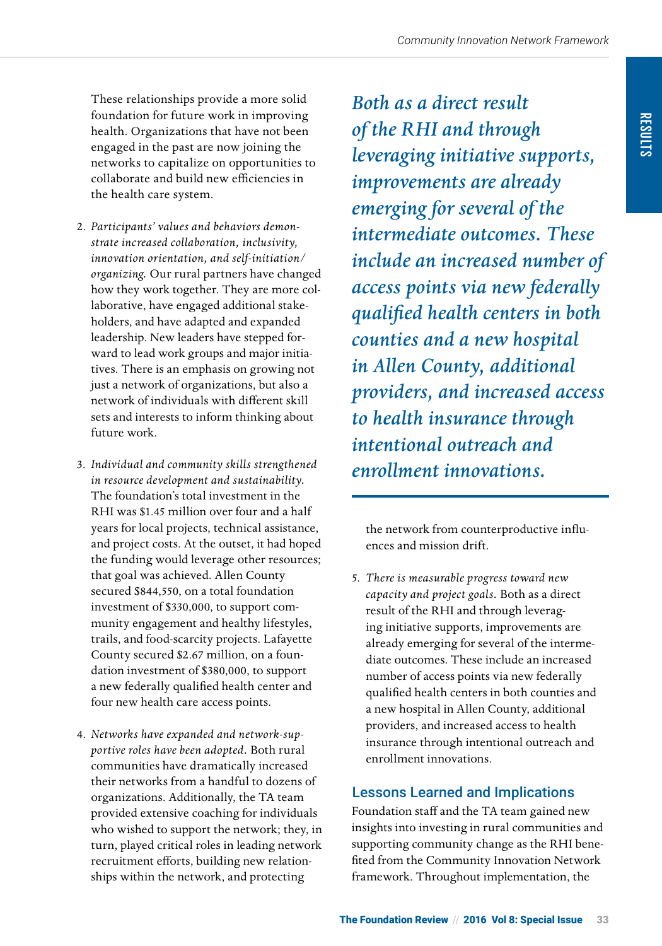These relationships provide a more solid foundation for future work in improving health. Organizations that have not been engaged in the past are now joining the networks to capitalize on opportunities to collaborate and build new efficiencies in the health care system.

- 2. *Participants' values and behaviors demonstrate increased collaboration, inclusivity, innovation orientation, and self-initiation/ organizing.* Our rural partners have changed how they work together. They are more collaborative, have engaged additional stakeholders, and have adapted and expanded leadership. New leaders have stepped forward to lead work groups and major initiatives. There is an emphasis on growing not just a network of organizations, but also a network of individuals with different skill sets and interests to inform thinking about future work.
- 3. *Individual and community skills strengthened in resource development and sustainability.*  The foundation's total investment in the RHI was \$1.45 million over four and a half years for local projects, technical assistance, and project costs. At the outset, it had hoped the funding would leverage other resources; that goal was achieved. Allen County secured \$844,550, on a total foundation investment of \$330,000, to support community engagement and healthy lifestyles, trails, and food-scarcity projects. Lafayette County secured \$2.67 million, on a foundation investment of \$380,000, to support a new federally qualified health center and four new health care access points.
- 4. *Networks have expanded and network-supportive roles have been adopted.* Both rural communities have dramatically increased their networks from a handful to dozens of organizations. Additionally, the TA team provided extensive coaching for individuals who wished to support the network; they, in turn, played critical roles in leading network recruitment efforts, building new relationships within the network, and protecting

*Both as a direct result of the RHI and through leveraging initiative supports, improvements are already emerging for several of the intermediate outcomes. These include an increased number of access points via new federally qualified health centers in both counties and a new hospital in Allen County, additional providers, and increased access to health insurance through intentional outreach and enrollment innovations.*

the network from counterproductive influences and mission drift.

5. *There is measurable progress toward new capacity and project goals.* Both as a direct result of the RHI and through leveraging initiative supports, improvements are already emerging for several of the intermediate outcomes. These include an increased number of access points via new federally qualified health centers in both counties and a new hospital in Allen County, additional providers, and increased access to health insurance through intentional outreach and enrollment innovations.

## Lessons Learned and Implications

Foundation staff and the TA team gained new insights into investing in rural communities and supporting community change as the RHI benefited from the Community Innovation Network framework. Throughout implementation, the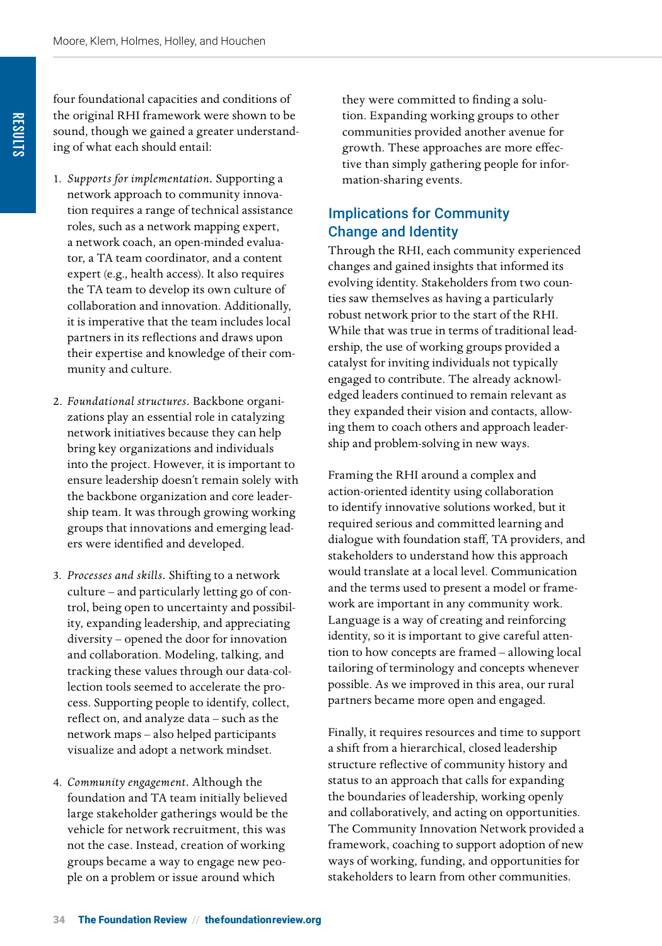four foundational capacities and conditions of the original RHI framework were shown to be sound, though we gained a greater understanding of what each should entail:

- 1. *Supports for implementation.* Supporting a network approach to community innovation requires a range of technical assistance roles, such as a network mapping expert, a network coach, an open-minded evaluator, a TA team coordinator, and a content expert (e.g., health access). It also requires the TA team to develop its own culture of collaboration and innovation. Additionally, it is imperative that the team includes local partners in its reflections and draws upon their expertise and knowledge of their community and culture.
- 2. *Foundational structures.* Backbone organizations play an essential role in catalyzing network initiatives because they can help bring key organizations and individuals into the project. However, it is important to ensure leadership doesn't remain solely with the backbone organization and core leadership team. It was through growing working groups that innovations and emerging leaders were identified and developed.
- 3. *Processes and skills.* Shifting to a network culture – and particularly letting go of control, being open to uncertainty and possibility, expanding leadership, and appreciating diversity – opened the door for innovation and collaboration. Modeling, talking, and tracking these values through our data-collection tools seemed to accelerate the process. Supporting people to identify, collect, reflect on, and analyze data – such as the network maps – also helped participants visualize and adopt a network mindset.
- 4. *Community engagement.* Although the foundation and TA team initially believed large stakeholder gatherings would be the vehicle for network recruitment, this was not the case. Instead, creation of working groups became a way to engage new people on a problem or issue around which

they were committed to finding a solution. Expanding working groups to other communities provided another avenue for growth. These approaches are more effective than simply gathering people for information-sharing events.

## Implications for Community Change and Identity

Through the RHI, each community experienced changes and gained insights that informed its evolving identity. Stakeholders from two counties saw themselves as having a particularly robust network prior to the start of the RHI. While that was true in terms of traditional leadership, the use of working groups provided a catalyst for inviting individuals not typically engaged to contribute. The already acknowledged leaders continued to remain relevant as they expanded their vision and contacts, allowing them to coach others and approach leadership and problem-solving in new ways.

Framing the RHI around a complex and action-oriented identity using collaboration to identify innovative solutions worked, but it required serious and committed learning and dialogue with foundation staff, TA providers, and stakeholders to understand how this approach would translate at a local level. Communication and the terms used to present a model or framework are important in any community work. Language is a way of creating and reinforcing identity, so it is important to give careful attention to how concepts are framed – allowing local tailoring of terminology and concepts whenever possible. As we improved in this area, our rural partners became more open and engaged.

Finally, it requires resources and time to support a shift from a hierarchical, closed leadership structure reflective of community history and status to an approach that calls for expanding the boundaries of leadership, working openly and collaboratively, and acting on opportunities. The Community Innovation Network provided a framework, coaching to support adoption of new ways of working, funding, and opportunities for stakeholders to learn from other communities.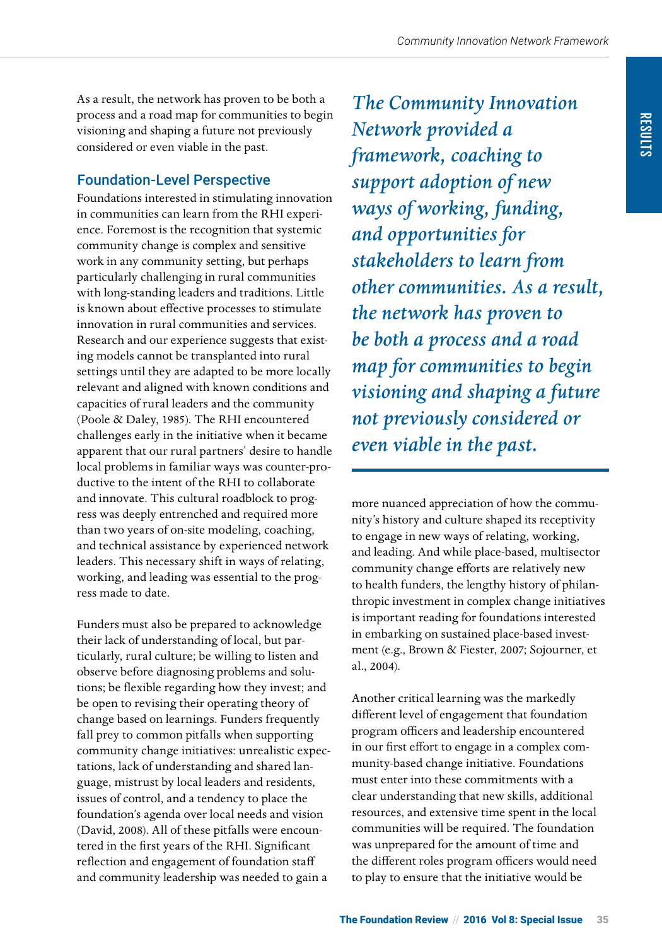As a result, the network has proven to be both a process and a road map for communities to begin visioning and shaping a future not previously considered or even viable in the past.

## Foundation-Level Perspective

Foundations interested in stimulating innovation in communities can learn from the RHI experience. Foremost is the recognition that systemic community change is complex and sensitive work in any community setting, but perhaps particularly challenging in rural communities with long-standing leaders and traditions. Little is known about effective processes to stimulate innovation in rural communities and services. Research and our experience suggests that existing models cannot be transplanted into rural settings until they are adapted to be more locally relevant and aligned with known conditions and capacities of rural leaders and the community (Poole & Daley, 1985). The RHI encountered challenges early in the initiative when it became apparent that our rural partners' desire to handle local problems in familiar ways was counter-productive to the intent of the RHI to collaborate and innovate. This cultural roadblock to progress was deeply entrenched and required more than two years of on-site modeling, coaching, and technical assistance by experienced network leaders. This necessary shift in ways of relating, working, and leading was essential to the progress made to date.

Funders must also be prepared to acknowledge their lack of understanding of local, but particularly, rural culture; be willing to listen and observe before diagnosing problems and solutions; be flexible regarding how they invest; and be open to revising their operating theory of change based on learnings. Funders frequently fall prey to common pitfalls when supporting community change initiatives: unrealistic expectations, lack of understanding and shared language, mistrust by local leaders and residents, issues of control, and a tendency to place the foundation's agenda over local needs and vision (David, 2008). All of these pitfalls were encountered in the first years of the RHI. Significant reflection and engagement of foundation staff and community leadership was needed to gain a

*The Community Innovation Network provided a framework, coaching to support adoption of new ways of working, funding, and opportunities for stakeholders to learn from other communities. As a result, the network has proven to be both a process and a road map for communities to begin visioning and shaping a future not previously considered or even viable in the past.*

more nuanced appreciation of how the community's history and culture shaped its receptivity to engage in new ways of relating, working, and leading. And while place-based, multisector community change efforts are relatively new to health funders, the lengthy history of philanthropic investment in complex change initiatives is important reading for foundations interested in embarking on sustained place-based investment (e.g., Brown & Fiester, 2007; Sojourner, et al., 2004).

Another critical learning was the markedly different level of engagement that foundation program officers and leadership encountered in our first effort to engage in a complex community-based change initiative. Foundations must enter into these commitments with a clear understanding that new skills, additional resources, and extensive time spent in the local communities will be required. The foundation was unprepared for the amount of time and the different roles program officers would need to play to ensure that the initiative would be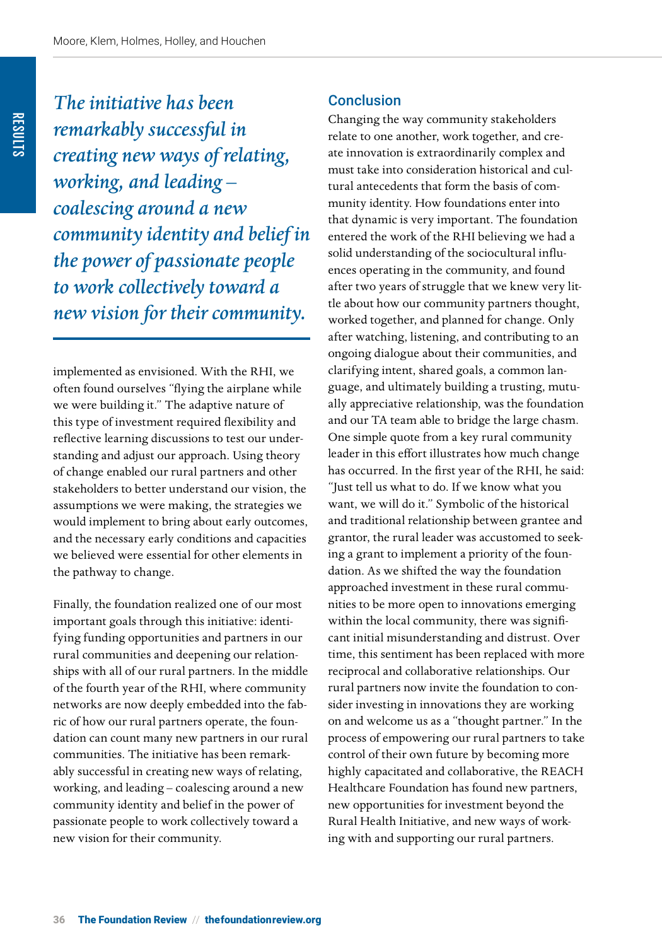*The initiative has been remarkably successful in creating new ways of relating, working, and leading – coalescing around a new community identity and belief in the power of passionate people to work collectively toward a new vision for their community.*

implemented as envisioned. With the RHI, we often found ourselves "flying the airplane while we were building it." The adaptive nature of this type of investment required flexibility and reflective learning discussions to test our understanding and adjust our approach. Using theory of change enabled our rural partners and other stakeholders to better understand our vision, the assumptions we were making, the strategies we would implement to bring about early outcomes, and the necessary early conditions and capacities we believed were essential for other elements in the pathway to change.

Finally, the foundation realized one of our most important goals through this initiative: identifying funding opportunities and partners in our rural communities and deepening our relationships with all of our rural partners. In the middle of the fourth year of the RHI, where community networks are now deeply embedded into the fabric of how our rural partners operate, the foundation can count many new partners in our rural communities. The initiative has been remarkably successful in creating new ways of relating, working, and leading – coalescing around a new community identity and belief in the power of passionate people to work collectively toward a new vision for their community.

#### **Conclusion**

Changing the way community stakeholders relate to one another, work together, and create innovation is extraordinarily complex and must take into consideration historical and cultural antecedents that form the basis of community identity. How foundations enter into that dynamic is very important. The foundation entered the work of the RHI believing we had a solid understanding of the sociocultural influences operating in the community, and found after two years of struggle that we knew very little about how our community partners thought, worked together, and planned for change. Only after watching, listening, and contributing to an ongoing dialogue about their communities, and clarifying intent, shared goals, a common language, and ultimately building a trusting, mutually appreciative relationship, was the foundation and our TA team able to bridge the large chasm. One simple quote from a key rural community leader in this effort illustrates how much change has occurred. In the first year of the RHI, he said: "Just tell us what to do. If we know what you want, we will do it." Symbolic of the historical and traditional relationship between grantee and grantor, the rural leader was accustomed to seeking a grant to implement a priority of the foundation. As we shifted the way the foundation approached investment in these rural communities to be more open to innovations emerging within the local community, there was significant initial misunderstanding and distrust. Over time, this sentiment has been replaced with more reciprocal and collaborative relationships. Our rural partners now invite the foundation to consider investing in innovations they are working on and welcome us as a "thought partner." In the process of empowering our rural partners to take control of their own future by becoming more highly capacitated and collaborative, the REACH Healthcare Foundation has found new partners, new opportunities for investment beyond the Rural Health Initiative, and new ways of working with and supporting our rural partners.